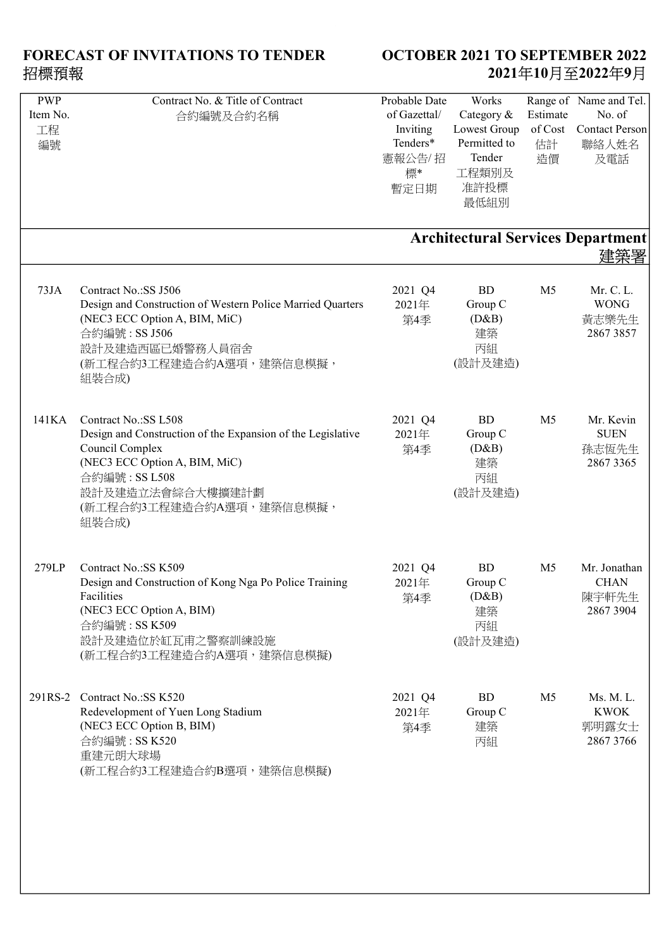| <b>PWP</b> | Contract No. & Title of Contract                            | Probable Date | Works        |                | Range of Name and Tel.                   |
|------------|-------------------------------------------------------------|---------------|--------------|----------------|------------------------------------------|
| Item No.   | 合約編號及合約名稱                                                   | of Gazettal/  | Category &   | Estimate       | No. of                                   |
| 工程         |                                                             | Inviting      | Lowest Group | of Cost        | <b>Contact Person</b>                    |
| 編號         |                                                             | Tenders*      | Permitted to | 估計             | 聯絡人姓名                                    |
|            |                                                             | 憲報公告/招        | Tender       | 造價             | 及電話                                      |
|            |                                                             |               | 工程類別及        |                |                                          |
|            |                                                             | 標*            |              |                |                                          |
|            |                                                             | 暫定日期          | 准許投標         |                |                                          |
|            |                                                             |               | 最低組別         |                |                                          |
|            |                                                             |               |              |                |                                          |
|            |                                                             |               |              |                | <b>Architectural Services Department</b> |
|            |                                                             |               |              |                | 建築署                                      |
|            |                                                             |               |              |                |                                          |
|            |                                                             |               |              |                |                                          |
| 73JA       | Contract No.:SS J506                                        | 2021 Q4       | <b>BD</b>    | M <sub>5</sub> | Mr. C. L.                                |
|            | Design and Construction of Western Police Married Quarters  | 2021年         | Group C      |                | <b>WONG</b>                              |
|            | (NEC3 ECC Option A, BIM, MiC)                               | 第4季           | (D&B)        |                | 黃志樂先生                                    |
|            | 合約編號: SS J506                                               |               | 建築           |                | 2867 3857                                |
|            | 設計及建造西區已婚警務人員宿舍                                             |               | 丙組           |                |                                          |
|            | (新工程合約3工程建造合約A選項,建築信息模擬,                                    |               | (設計及建造)      |                |                                          |
|            | 組裝合成)                                                       |               |              |                |                                          |
|            |                                                             |               |              |                |                                          |
|            |                                                             |               |              |                |                                          |
| 141KA      | Contract No.:SS L508                                        | 2021 Q4       | BD           | M <sub>5</sub> | Mr. Kevin                                |
|            | Design and Construction of the Expansion of the Legislative | 2021年         | Group C      |                | <b>SUEN</b>                              |
|            | Council Complex                                             | 第4季           | (D&B)        |                | 孫志恆先生                                    |
|            | (NEC3 ECC Option A, BIM, MiC)                               |               | 建築           |                | 2867 3365                                |
|            | 合約編號: SS L508                                               |               | 丙組           |                |                                          |
|            | 設計及建造立法會綜合大樓擴建計劃                                            |               | (設計及建造)      |                |                                          |
|            | (新工程合約3工程建造合約A選項,建築信息模擬,                                    |               |              |                |                                          |
|            |                                                             |               |              |                |                                          |
|            | 組裝合成)                                                       |               |              |                |                                          |
|            |                                                             |               |              |                |                                          |
| 279LP      | Contract No.:SS K509                                        | 2021 Q4       | <b>BD</b>    | M <sub>5</sub> | Mr. Jonathan                             |
|            |                                                             |               |              |                |                                          |
|            | Design and Construction of Kong Nga Po Police Training      | 2021年         | Group C      |                | <b>CHAN</b>                              |
|            | Facilities                                                  | 第4季           | (D&B)        |                | 陳宇軒先生                                    |
|            | (NEC3 ECC Option A, BIM)                                    |               | 建築           |                | 2867 3904                                |
|            | 合約編號: SS K509                                               |               | 丙組           |                |                                          |
|            | 設計及建造位於缸瓦甫之警察訓練設施                                           |               | (設計及建造)      |                |                                          |
|            | (新工程合約3工程建造合約A選項,建築信息模擬)                                    |               |              |                |                                          |
|            |                                                             |               |              |                |                                          |
|            |                                                             |               |              |                |                                          |
| 291RS-2    | Contract No.: SS K520                                       | 2021 Q4       | <b>BD</b>    | M <sub>5</sub> | Ms. M. L.                                |
|            | Redevelopment of Yuen Long Stadium                          | 2021年         | Group C      |                | <b>KWOK</b>                              |
|            | (NEC3 ECC Option B, BIM)                                    | 第4季           | 建築           |                | 郭明露女士                                    |
|            | 合約編號: SS K520                                               |               | 丙組           |                | 2867 3766                                |
|            | 重建元朗大球場                                                     |               |              |                |                                          |
|            |                                                             |               |              |                |                                          |
|            | (新工程合約3工程建造合約B選項,建築信息模擬)                                    |               |              |                |                                          |
|            |                                                             |               |              |                |                                          |
|            |                                                             |               |              |                |                                          |
|            |                                                             |               |              |                |                                          |
|            |                                                             |               |              |                |                                          |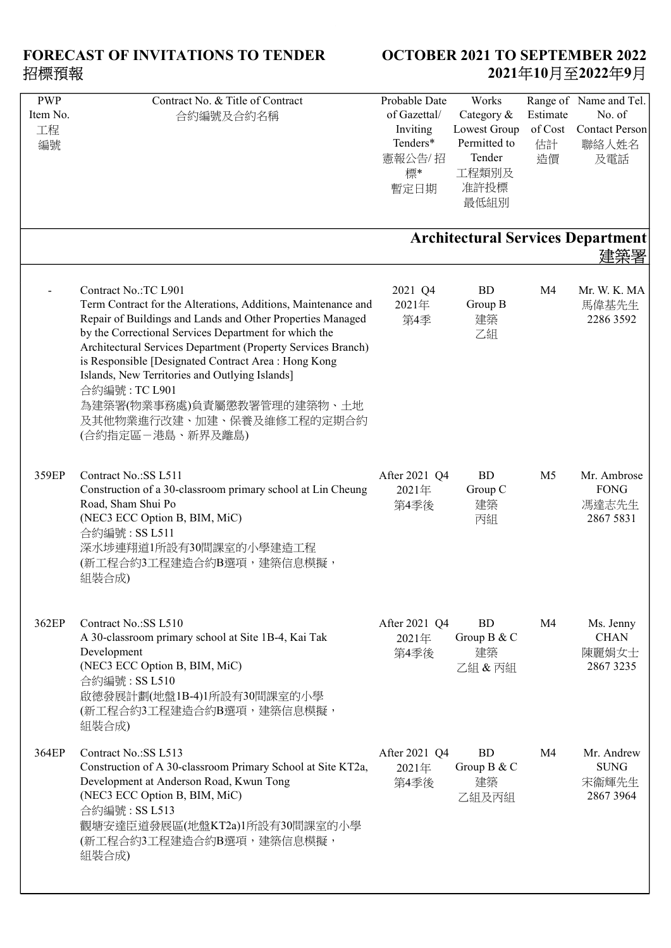| <b>PWP</b> | Contract No. & Title of Contract                                                  | Probable Date    | Works        |                | Range of Name and Tel.                          |
|------------|-----------------------------------------------------------------------------------|------------------|--------------|----------------|-------------------------------------------------|
| Item No.   | 合約編號及合約名稱                                                                         | of Gazettal/     | Category &   | Estimate       | No. of                                          |
| 工程         |                                                                                   | Inviting         | Lowest Group | of Cost        | <b>Contact Person</b>                           |
| 編號         |                                                                                   | Tenders*         | Permitted to | 估計             | 聯絡人姓名                                           |
|            |                                                                                   | 憲報公告/招           | Tender       | 造價             | 及電話                                             |
|            |                                                                                   | 標*               | 工程類別及        |                |                                                 |
|            |                                                                                   | 暫定日期             | 准許投標         |                |                                                 |
|            |                                                                                   |                  | 最低組別         |                |                                                 |
|            |                                                                                   |                  |              |                |                                                 |
|            |                                                                                   |                  |              |                | <b>Architectural Services Department</b><br>建築署 |
|            | Contract No.:TC L901                                                              |                  | <b>BD</b>    | M <sub>4</sub> | Mr. W. K. MA                                    |
|            | Term Contract for the Alterations, Additions, Maintenance and                     | 2021 Q4<br>2021年 | Group B      |                | 馬偉基先生                                           |
|            | Repair of Buildings and Lands and Other Properties Managed                        | 第4季              | 建築           |                | 2286 3592                                       |
|            | by the Correctional Services Department for which the                             |                  | 乙組           |                |                                                 |
|            | Architectural Services Department (Property Services Branch)                      |                  |              |                |                                                 |
|            | is Responsible [Designated Contract Area : Hong Kong                              |                  |              |                |                                                 |
|            | Islands, New Territories and Outlying Islands]                                    |                  |              |                |                                                 |
|            | 合約編號: TC L901                                                                     |                  |              |                |                                                 |
|            | 為建築署(物業事務處)負責屬懲教署管理的建築物、土地                                                        |                  |              |                |                                                 |
|            | 及其他物業進行改建、加建、保養及維修工程的定期合約                                                         |                  |              |                |                                                 |
|            | (合約指定區-港島、新界及離島)                                                                  |                  |              |                |                                                 |
|            |                                                                                   |                  |              |                |                                                 |
| 359EP      | Contract No.:SS L511                                                              | After 2021 Q4    | <b>BD</b>    | M <sub>5</sub> | Mr. Ambrose                                     |
|            | Construction of a 30-classroom primary school at Lin Cheung<br>Road, Sham Shui Po | 2021年            | Group C      |                | <b>FONG</b>                                     |
|            | (NEC3 ECC Option B, BIM, MiC)                                                     | 第4季後             | 建築           |                | 馮達志先生<br>2867 5831                              |
|            | 合約編號: SS L511                                                                     |                  | 丙組           |                |                                                 |
|            | 深水埗連翔道1所設有30間課室的小學建造工程                                                            |                  |              |                |                                                 |
|            | (新工程合約3工程建造合約B選項,建築信息模擬,                                                          |                  |              |                |                                                 |
|            | 組裝合成)                                                                             |                  |              |                |                                                 |
|            |                                                                                   |                  |              |                |                                                 |
| 362EP      | Contract No.: SS L510                                                             | After 2021 Q4    | <b>BD</b>    | M4             | Ms. Jenny                                       |
|            | A 30-classroom primary school at Site 1B-4, Kai Tak                               | 2021年            | Group B & C  |                | <b>CHAN</b>                                     |
|            | Development                                                                       | 第4季後             | 建築           |                | 陳麗娟女士                                           |
|            | (NEC3 ECC Option B, BIM, MiC)                                                     |                  | 乙組 & 丙組      |                | 2867 3235                                       |
|            | 合約編號: SS L510                                                                     |                  |              |                |                                                 |
|            | 啟德發展計劃(地盤1B-4)1所設有30間課室的小學                                                        |                  |              |                |                                                 |
|            | (新工程合約3工程建造合約B選項,建築信息模擬,                                                          |                  |              |                |                                                 |
|            | 組裝合成)                                                                             |                  |              |                |                                                 |
| 364EP      | Contract No.: SS L513                                                             | After 2021 Q4    | <b>BD</b>    | M4             | Mr. Andrew                                      |
|            | Construction of A 30-classroom Primary School at Site KT2a,                       | 2021年            | Group B & C  |                | <b>SUNG</b>                                     |
|            | Development at Anderson Road, Kwun Tong                                           | 第4季後             | 建築           |                | 宋衞輝先生                                           |
|            | (NEC3 ECC Option B, BIM, MiC)                                                     |                  | 乙組及丙組        |                | 2867 3964                                       |
|            | 合約編號: SS L513                                                                     |                  |              |                |                                                 |
|            | 觀塘安達臣道發展區(地盤KT2a)1所設有30間課室的小學                                                     |                  |              |                |                                                 |
|            | (新工程合約3工程建造合約B選項,建築信息模擬,                                                          |                  |              |                |                                                 |
|            | 組裝合成)                                                                             |                  |              |                |                                                 |
|            |                                                                                   |                  |              |                |                                                 |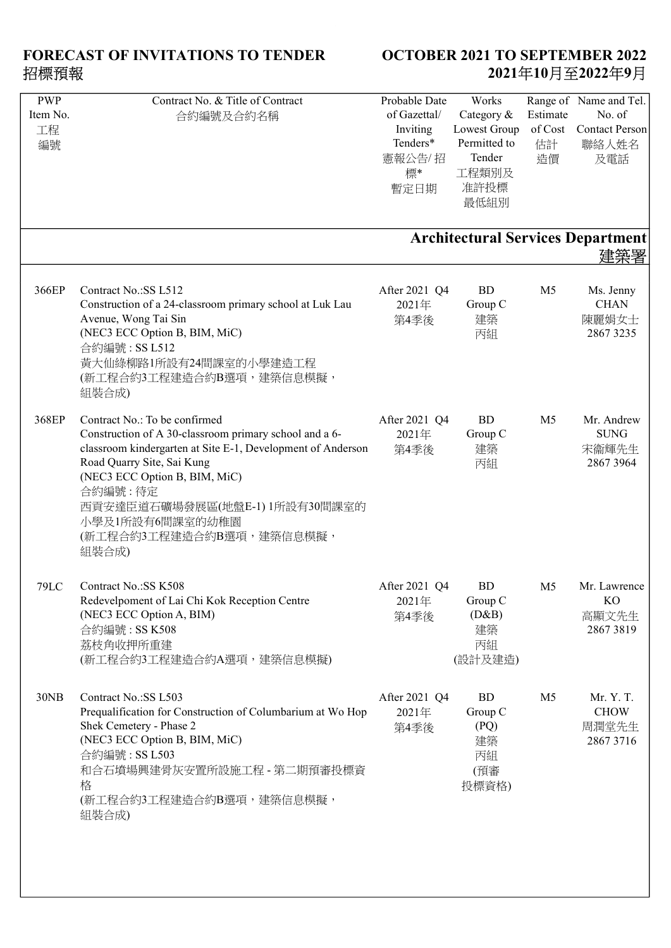| <b>PWP</b><br>Item No.<br>工程<br>編號 | Contract No. & Title of Contract<br>合約編號及合約名稱                                                                                                                                                                                                                                                                              | Probable Date<br>of Gazettal/<br>Inviting<br>Tenders*<br>憲報公告/招<br>標*<br>暫定日期 | Works<br>Category &<br>Lowest Group<br>Permitted to<br>Tender<br>工程類別及<br>准許投標<br>最低組別 | Estimate<br>of Cost<br>估計<br>造價 | Range of Name and Tel.<br>No. of<br><b>Contact Person</b><br>聯絡人姓名<br>及電話<br><b>Architectural Services Department</b> |
|------------------------------------|----------------------------------------------------------------------------------------------------------------------------------------------------------------------------------------------------------------------------------------------------------------------------------------------------------------------------|-------------------------------------------------------------------------------|----------------------------------------------------------------------------------------|---------------------------------|-----------------------------------------------------------------------------------------------------------------------|
|                                    |                                                                                                                                                                                                                                                                                                                            |                                                                               |                                                                                        |                                 |                                                                                                                       |
| 366EP                              | Contract No.: SS L512<br>Construction of a 24-classroom primary school at Luk Lau<br>Avenue, Wong Tai Sin<br>(NEC3 ECC Option B, BIM, MiC)<br>合約編號: SS L512<br>黃大仙綠柳路1所設有24間課室的小學建造工程<br>(新工程合約3工程建造合約B選項,建築信息模擬,<br>組裝合成)                                                                                                 | After 2021 Q4<br>2021年<br>第4季後                                                | <b>BD</b><br>Group C<br>建築<br>丙組                                                       | M <sub>5</sub>                  | Ms. Jenny<br><b>CHAN</b><br>陳麗娟女士<br>2867 3235                                                                        |
| 368EP                              | Contract No.: To be confirmed<br>Construction of A 30-classroom primary school and a 6-<br>classroom kindergarten at Site E-1, Development of Anderson<br>Road Quarry Site, Sai Kung<br>(NEC3 ECC Option B, BIM, MiC)<br>合約編號:待定<br>西貢安達臣道石礦場發展區(地盤E-1) 1所設有30間課室的<br>小學及1所設有6間課室的幼稚園<br>(新工程合約3工程建造合約B選項,建築信息模擬,<br>組裝合成) | After 2021 Q4<br>2021年<br>第4季後                                                | <b>BD</b><br>Group C<br>建築<br>丙組                                                       | M <sub>5</sub>                  | Mr. Andrew<br><b>SUNG</b><br>宋衞輝先生<br>2867 3964                                                                       |
| <b>79LC</b>                        | Contract No.: SS K508<br>Redevelpoment of Lai Chi Kok Reception Centre<br>(NEC3 ECC Option A, BIM)<br>合約編號: SS K508<br>荔枝角收押所重建<br>(新工程合約3工程建造合約A選項,建築信息模擬)                                                                                                                                                                | After 2021 Q4<br>2021年<br>第4季後                                                | <b>BD</b><br>Group C<br>(D&B)<br>建築<br>丙組<br>(設計及建造)                                   | M <sub>5</sub>                  | Mr. Lawrence<br>KO<br>高顯文先生<br>28673819                                                                               |
| 30NB                               | Contract No.: SS L503<br>Prequalification for Construction of Columbarium at Wo Hop<br>Shek Cemetery - Phase 2<br>(NEC3 ECC Option B, BIM, MiC)<br>合約編號: SS L503<br>和合石墳場興建骨灰安置所設施工程 - 第二期預審投標資<br>格<br>(新工程合約3工程建造合約B選項,建築信息模擬,<br>組裝合成)                                                                                  | After 2021 Q4<br>2021年<br>第4季後                                                | BD<br>Group C<br>(PQ)<br>建築<br>丙組<br>(預審<br>投標資格)                                      | M <sub>5</sub>                  | Mr. Y. T.<br><b>CHOW</b><br>周潤堂先生<br>2867 3716                                                                        |